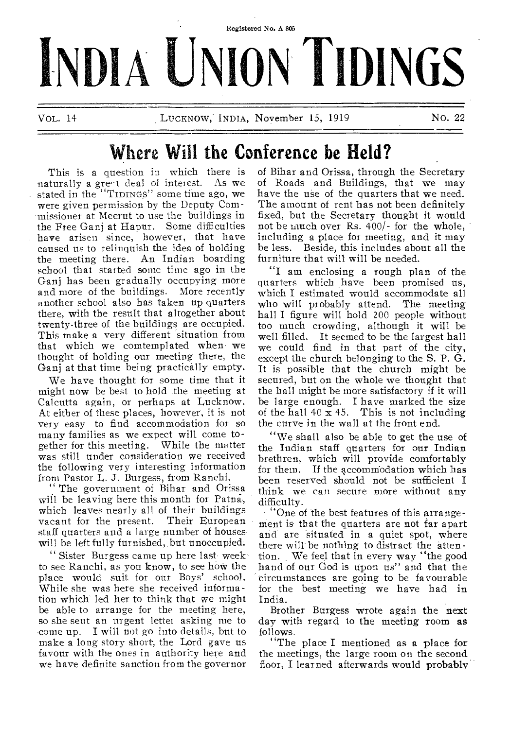

# **Where Will the Conference be Held?**

This is a question in which there is naturally a gre^t deal of interest. As we stated in the "TIDINGS" some time ago, we were given permission by the Deputy Commissioner at Meerut to use the buildings in the free Ganj at Hapur. Some difficulties have arisen since, however, that have caused us to relinquish the idea of holding the meeting there. An Indian boarding school that started some time ago in the Ganj has been gradually occupying more and more of the buildings. More recently another school also has taken up quarters there, with the result that altogether about twenty-three of the buildings are occupied. This make a very different 'situation from that which we comtemplated when we thought of holding our meeting there, the Ganj at that time being practically empty.

We have thought for some time that it might now be best to hold the meeting at Calcutta again, or perhaps at Lucknow. At either of these places, however, it is not very easy to find accommodation for so many families as we expect will come together for this meeting. While the matter was still under consideration we received the following very interesting information from Pastor L. J. Burgess, from Ranchi.

" The government of Bihar and Orissa will be leaving here this month for Patna, which leaves nearly all of their buildings<br>vacant for the present. Their European vacant for the present. staff quarters and a large number of houses will be left fully furnished, but unoccupied.

" Sister Burgess came up here last week to see Ranchi, as you know, to see how the place would suit for our Boys' school. While she was here she received information which led her to think that we might be able to arrange for the meeting here, so she sent an urgent letter asking me to come up. I will not go into details, but to make a long story short, the Lord gave us favour with the ones in authority here and we have definite sanction from the governor

of Bihar and Orissa, through the Secretary of Roads and Buildings, that we may have the use of the quarters that we need. The amount of rent has not been definitely fixed, but the Secretary thought it would not be much over Rs. 400/- for the whole, including a place for meeting, and it may be less. Beside, this includes about all the furniture that will will be needed.

"I am enclosing a rough plan of the quarters which have been promised us, which I estimated would accommodate all who will probably attend. The meeting hall I figure will hold 200 people without too much crowding, although it will be well filled. It seemed to be the largest hall we could find in that part of the city, except the church belonging to the S. P. G. It is possible that the church might be secured, but on the whole we thought that the hall might be more satisfactory if it will be large enough. I have marked the size of the hall  $40 \times 45$ . This is not including the curve in the wall at the front end.

"We shall also be able to get the use of the Indian staff quarters for our Indian brethren, which will provide comfortably for them. If the accommodation which has been reserved should not be sufficient I think we can secure more without any difficulty.

"One of the best features of this arrangement is that the quarters are not far apart and are situated in a quiet spot, where there will be nothing to distract the attention. We feel that in every way "the good hand of our God is upon us" and that the circumstances are going to be favourable for the best meeting we have had in India.

Brother Burgess wrote again the next day with regard to the meeting room as follows.

"The place I mentioned as a place for the meetings, the large room on the second floor, I learned afterwards would probably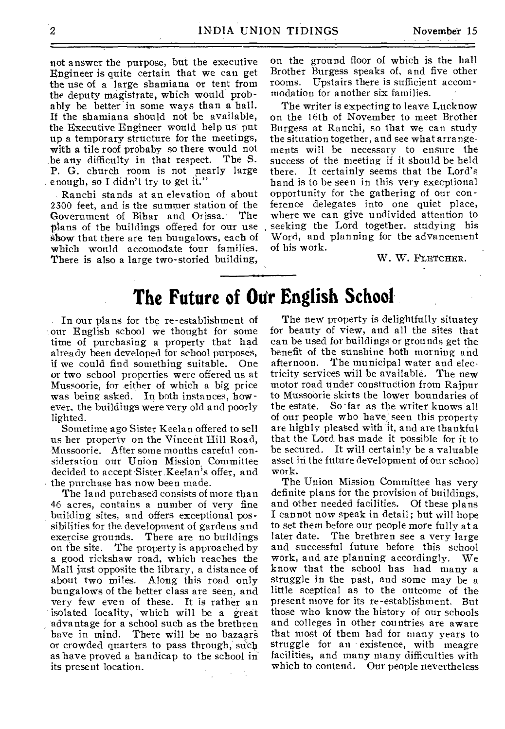not answer the purpose, but the executive Engineer is quite certain that we can get the use of a large shamiana or tent from the deputy magistrate, which would probably be better in some ways than a hall. If the shamiana should not be available, the Executive Engineer would help us put up a temporary structure for the meetings, with a tile roof probaby so there would not be any difficulty in that respect. The S. P. G. church room is not nearly large enough, so I didn't try to get it."

Ranchi stands at an elevation of about 2300 feet, and is the summer station of the<br>Government of Bihar and Orissa. The Government of Bihar and Orissa. plans of the buildings offered for our use show that there are ten bungalows, each of which would accomodate four families. There is also a large two-storied building,

on the ground floor of which is the hall Brother Burgess speaks of, and five other rooms. Upstairs there is sufficient accommodation for another six families.

The writer is expecting to leave Lucknow on the 16th of November to meet Brother Burgess at Ranchi, so that we can study the situation together, and see what arrangements will be necessary to ensure the success of the meeting if it should be held there. It certainly seems that the Lord's hand is to be seen in this very execptional opportunity for the gathering of our conference delegates into one quiet place, where we can give undivided attention to seeking the Lord together. studying his Word, and planning for the advancement of his work.

W. W. FLETCHER.

# **The Future of Our English School**

In our plans for the re-establishment of our English school we thought for some time of purchasing a property that had already been developed for school purposes, if we could find something suitable. One or two school properties were offered us at Mussoorie, for either of which a big price was being asked. In both instances, however. the buildings were very old and poorly lighted.

Sometime ago Sister Keelan offered to sell us her property on the Vincent Hill Road, Mussoorie. After some months careful consideration our Union Mission Committee decided to accept Sister Keelan's offer, and the purchase has now been made.

The land purchased consists of more than 46 acres, contains a number of very fine building sites, and offers exceptional possibilities for the development of gardens and<br>exercise grounds. There are no buildings There are no buildings. on the site. The property is approached by a good rickshaw road, which reaches the Mall just opposite the library, a distance of about two miles. Along this road only bungalows of the better class are seen, and very few even of these. It is rather an isolated locality, which will be a great advantage for a school such as the brethren have in mind. There will be no bazaars or crowded quarters to pass through, such as have proved a handicap to the school in its present location.

The new property is delightfully situatey for beauty of view, and all the sites that can be used for buildings or grounds get the benefit of the sunshine both morning and afternoon. The municipal water and electricity services will be available. The new motor road under construction from Rajpur to Mussoorie skirts the lower boundaries of the estate. So far as the writer knows all of our people who have seen this property are highly pleased with it, and are thankful that the Lord has made it possible for it to be secured. It will certainly be a valuable asset in the future development of our school work.

The Union Mission Committee has very definite plans for the provision of buildings, and other needed facilities. Of these plans I cannot now speak in detail ; but will hope to set them before our people more fully at a later date. The brethren see a very large and successful future before this school work, and are planning accordingly. We know that the school has had many a struggle in the past, and some may be a little sceptical as to the outcome of the present move for its re-establishment. But those who know the history of our schools and colleges in other countries are aware that most of them bad for many years to struggle for an existence, with meagre facilities, and many many difficulties with which to contend. Our people nevertheless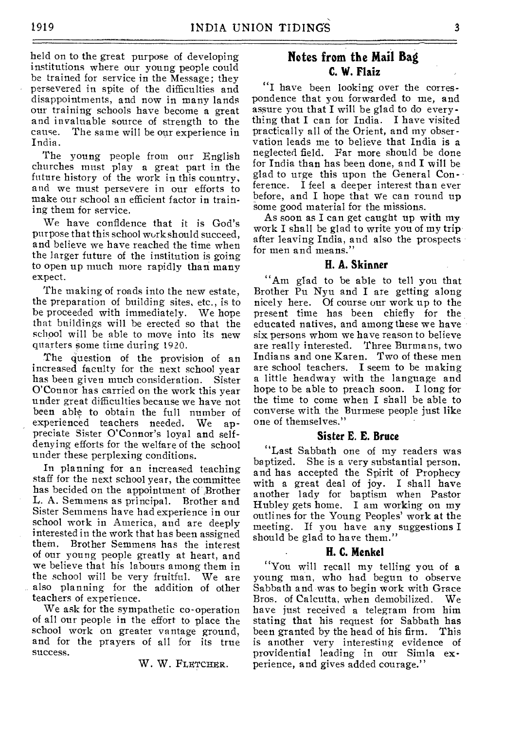held on to the great purpose of developing institutions where our young people could be trained for service in the Message; they persevered in spite of the difficulties and disappointments, and now in many lands our training schools have become a great and invaluable source of strength to the The same will be our experience in India.

The young people from our English churches must play a great part in the future history of the work in this country, and we must persevere in our efforts to make our school an efficient factor in training them for service.

We have confidence that it is God's purpose that this school work should succeed, and believe we have reached the time when the larger future of the institution is going to open up much more rapidly than many expect.

The making of roads into the new estate, the preparation of building sites, etc., is to be proceeded with immediately. We hope that buildings will be erected so that the school will be able to move into its new quarters some time during 1920.

The question of the provision of an increased faculty for the next school year has been given much consideration. Sister O'Connor has carried on the work this year under great difficulties because we have not been able to obtain the full number of experienced teachers needed. We appreciate Sister O'Connor's loyal and selfdenying efforts for the welfare of the school under these perplexing conditions.

In planning for an increased teaching staff for the next school year, the committee has becided on the appointment of Brother L. A. Semmens as principal. Brother and Sister Semmens have had experience in our school work in America, and are deeply interested in the work that has been assigned them. Brother Semmens has the interest of our young people greatly at heart, and we believe that his labours among them in the school will be very fruitful. We are also planning for the addition of other teachers of experience.

We ask for the sympathetic co-operation of all our people in the effort to place the school work on greater vantage ground, and for the prayers of all for its true success.

W. W. FLETCHER.

## **Notes from the Mail Bag C. W. Flaiz**

"I have been looking over the correspondence that you forwarded to me, and assure you that I will be glad to do everything that I can for India. I have visited practically all of the Orient, and my observation leads me to believe that India is a neglected field. Far more should be done for India than has been done, and I will be glad to urge this upon the General Conference. I feel a deeper interest than ever before, and I hope that we can round up some good material for the missions.

As soon as I can get caught up with my work I shall be glad to write you of my trip after leaving India, and also the prospects for men and means."

#### **H. A. Skinner**

"Am glad to be able to tell you that Brother Pu Nyu and I are getting along nicely here. Of course our work up to the present time has been chiefly for the educated natives, and among these we have six persons whom we have reason to believe<br>are really interested. Three Burmans, two are really interested. Indians and one Karen. Two of these men are school teachers. I seem to be making a little headway with the language and hope to be able to preach soon. I long for the time to come when I shall be able to converse with the Burmese people just like one of themselves."

#### **Sister E. E. Bruce**

"Last Sabbath one of my readers was baptized. She is a very substantial person, and has accepted the Spirit of Prophecy with a great deal of joy. I shall have another lady for baptism when Pastor Hubley gets home. I am working on my outlines for the Young Peoples' work at the meeting. If you have any suggestions I should be glad to have them."

#### **• H. C. Menkel**

"You will recall my telling you of a young man, who had begun to observe Sabbath and was to begin work with Grace Bros. of Calcutta, when demobilized. We have just received a telegram from him stating that his request for Sabbath has been granted by the head of his firm. This is another very interesting evidence of providential leading in our Simla experience, and gives added courage."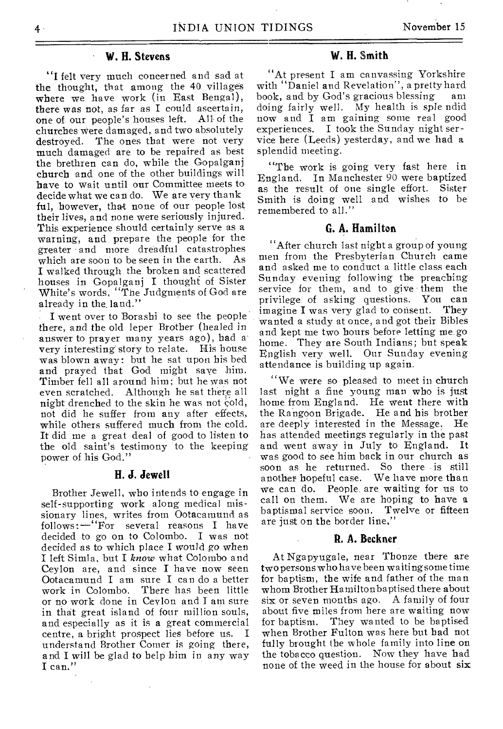## **W. H. Stevens**

"I felt very much concerned and sad at the thought, that among the 40 villages where we have work (in East Bengal), there was not, as far as I could ascertain,<br>one of our people's houses left. All of the one of our people's houses left. churches were damaged, and two absolutely<br>destroyed. The ones that were not very The ones that were not very much damaged are to he repaired as best the brethren can do, while the Gopalganj church and one of the other buildings will have to wait until our Committee meets to decide what we can do. We are very thank ful, however, that none of our people lost their lives, and none were seriously injured. This experience should certainly serve as a warning, and prepare the people for the greater and more dreadful catastrophes<br>which are soon to be seen in the earth. As which are soon to be seen in the earth. I walked through the broken and scattered houses in Gopalganj I thought of Sister White's words, "The Judgments of God are already in the land."

I went over to Borashi to see the people there, and the old leper Brother (healed in answer to prayer many years ago), had a very interesting story to relate. His house was blown away: but he sat upon his bed and prayed that God might save him. Timber fell all around him; but he was not even scratched. Although he sat there all night drenched to the skin he was not cold, not did he suffer from any after effects, while others suffered much from the cold. It did me a great deal of good to listen to the old saint's testimony to the keeping power of his God."

#### **H. J. Jewell**

Brother Jewell, who intends to engage in self-supporting work along medical missionary lines, writes from Ootacamund as follows:—"For several reasons I have decided to go on to Colombo. I was not decided as to which place I would *go* when I left Simla, but I *know* what Colombo and Ceylon are, and since I have now seen Ootacamund I am sure I can do a better work in Colombo. There has been little or no work done in Ceylon and I am sure in that great island of four million souls, and especially as it is a great commercial centre, a bright prospect lies before us. I understand Brother Comer is going there, and I will be glad to help him in any way I can."

## **W. H. Smith**

"At present I am canvassing Yorkshire with "Daniel and Revelation", a pretty hard book, and by God's gracious blessing am doing fairly well. My health is sple ndid now and I am gaining some real good experiences. I took the Sunday night service here (Leeds) yesterday, and we had a splendid meeting.

"The work is going very fast here in England. In Manchester 90 were baptized as the result of one single effort. Sister Smith is doing well and wishes to be remembered to all."

#### **G. A. Hamilton**

"After church last night a group of young men from the Presbyterian Church came and asked me to conduct a little class each Sunday evening following the preaching service for them, and to give them the privilege of asking questions. You can<br>imagine I was very glad to consent. They imagine I was very glad to consent. wanted a study at once, and got their Bibles and kept me two hours before letting me. go home. They are South Indians; but speak English very well. Our Sunday evening attendance is building up again.

"We were so pleased to meet in church last night a fine young man who is just home from England. He went there with the Rangoon Brigade. He and his brother are deeply interested in the Message. He has attended meetings regularly in the past and went away in July to England. It was good to see him back in our church as soon as he returned. So there is still another hopeful case. We have more than People, are waiting for us to call on them. We are hoping to have a baptismal service soon. Twelve or fifteen are just on the border line,"

#### **R. A. Beckner**

At Ngapyugale, near Thonze there are two persons who have been waiting some time for baptism, the wife and father of the man whom Brother Hamilton baptised there about six or seven months ago. A family of four about five miles from here are waiting now for baptism. They wanted to be baptised when Brother Fulton was here but had not fully brought the whole family into line on the tobacco question. Now they have had none of the weed in the house for about six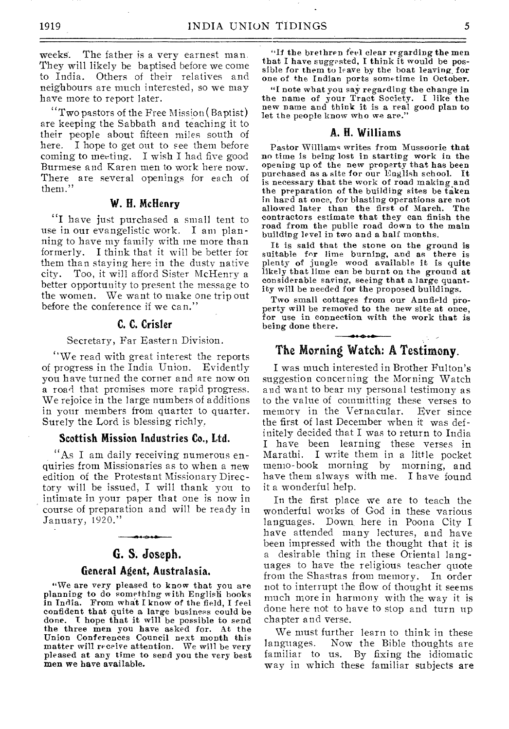weeks. The father is a very earnest man. They will likely be baptised before we come to India. Others of their relatives and neighbours are much interested, so we may have more to report later.

"Two pastors of the Free Mission( Baptist) are keeping the Sabbath and teaching it to their people about fifteen miles south of here. I hope to get out to see them before coming to meeting. I wish I had five good Burmese and Karen men to work here now. There are several openings for each of them."

#### W. H. McHenry

"I have just purchased a small tent to use in our evangelistic work. I am planning to have my family with me more than formerly. I think that it will be better for them than staying here in the dusty native city. Too, it will afford Sister McHenry a better opportunity to present the message to the women. We want to make one trip out before the conference if we can."

#### C. C. Crisler

#### Secretary, Far Eastern Division.

"We read with great interest the reports of progress in the India Union. Evidently you have turned the corner and are now on a road that promises more rapid progress. We rejoice in the large numbers of additions in your members from quarter to quarter. Surely the Lord is blessing richly.

#### Scottish Mission Industries Co., Ltd.

"As I am daily receiving numerous enquiries from Missionaries as to when a new edition of the Protestant Missionary Directory will be issued, I will thank you to intimate in your paper that one is now in course of preparation and will be ready in January, 1920."

## G. S. Joseph.

#### General Agent, Australasia.

"We are very pleased to know that you are planning to do something with English books in India. From what I know of the field, I feel confident that quite a large business could be done. I hope that it will be possible to send the three men you have asked for. At the Union Conferences Council next month this matter will receive attention. We will be very pleased at any time to send you the very best men we have available.

"If the brethren feel clear regarding the men that I have suggested, I think it would be possible for them to leave by the boat leaving, for one of the Indian ports sometime in October.

"I note what you say regarding the change in the name of your Tract Society. I like the new name and think it is a real good plan to let the people know who we are."

#### A. H. Williams

Pastor Williams writes from Mussoorie that no time is being lost in starting work in the opening up of the new property that has been purchased as a site for our English school. It is necessary that the work of road making and the preparation of the building sites be taken in hard at once, for blasting operations are not allowed later than the first of March. The contractors estimate that they can finish the road from the public road down to the main building level in two and a half months.

It is said that the stone on the ground is suitable for lime burning, and as there is plenty of jungle wood available it is quite likely that lime can be burnt on the ground at considerable saving, seeing that a large quantity will be needed for the proposed buildings.

Two small cottages from our Annfield property will be removed to the new site at once. for use in connection with the work that is being done there.

## The Morning Watch: A Testimony.

I was much interested in Brother Fulton's suggestion concerning the Morning Watch and want to bear my personal testimony as to the value of committing these verses to<br>memory in the Vernacular. Ever since memory in the Vernacular. the first of last December when it was definitely decided that I was to return to India I have been learning these verses in Marathi. I write them in a little pocket memo-book morning by morning, and have them always with me. I have found it a wonderful help.

In the first place we are to teach the wonderful works of God in these various languages. Down here in Poona City I have attended many lectures, and have been impressed with the thought that it is a desirable thing in these Oriental languages to have the religious teacher quote from the Shastras from memory. In order not to interrupt the flow of thought it seems much more in harmony with the way it is done here not to have to stop and turn up chapter and verse.

We must further learn to think in these<br>languages. Now the Bible thoughts are Now the Bible thoughts are familiar to us. By fixing the idiomatic way in which these familiar subjects are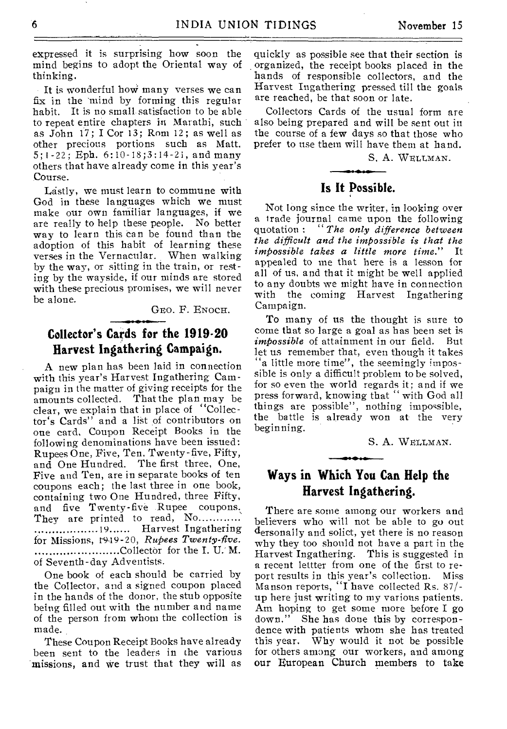expressed it is surprising how soon the mind begins to adopt the Oriental way of thinking.

It is wonderful how many verses we can fix in the 'mind by forming this regular habit. It is no small satisfaction to be able to repeat entire chapters in Marathi, such as John 17; I Cor 13; Rom 12; as well as other precious portions such as Matt. 5;1-22; Eph. 6:10-18;3:14-2i, and many others that have already come in this year's Course.

Lastly, we must learn to commune with God in these languages which we must make our own familiar languages, if we are really to help these people. No better way to learn this can be found than the adoption of this habit of learning these verses in the Vernacular. When walking by the way, or sitting in the train, or resting by the wayside, if our minds are stored with these precious promises, we will never be alone.

GEO. F. ENOCH.

## **Collector's Cards for the 1919-20 Harvest Ingathering Campaign.**

A new plan has been laid in connection with this year's Harvest Ingathering Campaign in the matter of giving receipts for the amounts collected. That the plan may be clear, we explain that in place of "Collector's Cards" and a list of contributors on one card, Coupon Receipt Books in the following denominations have been issued: Rupees One, Five, Ten, Twenty-five, Fifty, and One Hundred. The first three, One, Five and Ten, are in separate books of ten coupons each; the last three in one book, containing two One Hundred, three Fifty, and five Twenty-five Rupee coupons. They are printed to read, No............. ...................19...... Harvest Ingathering for Missions, 1949-20, *Rupees Twenty-five.* Collector for the I. U. M. of Seventh-day Adventists.

One book of each should be carried by the Collector, and a signed coupon placed in the hands of the donor, the stub opposite being filled out with the number and name of the person from whom the collection is made.

These Coupon Receipt Books have already been sent to the leaders in the various missions, and we trust that they will as quickly as possible see that their section is organized, the receipt books placed in the hands of responsible collectors, and the Harvest Ingathering pressed till the goals are reached, be that soon or late.

Collectors Cards of the usual form are also being prepared and will be sent out in the course of a few days so that those who prefer to use them will have them at hand.

S. A. WELLMAN.

## **Is It Possible.**

Not long since the writer, in looking over a trade journal came upon the following quotation : *"The only difference between the difficult and the impossible is that the impossible takes a little more time.*" appealed to me that here is a lesson for all of us, and that it might be well applied to any doubts we might have in connection with the coming Harvest Ingathering Campaign.

To many of us the thought is sure to come that so large a goal as has been set is<br> *imbossible* of attainment in our field. But *impossible* of attainment in our field. let us remember that, even though it takes a little more time", the seemingly impossible is only a difficult problem to be solved, for so even the world regards it; and if we press forward, knowing that " with God all things are possible", nothing impossible, the battle is already won at the very beginning.

S. A. WELLMAN.

## **Ways in Which You Can Help the Harvest Ingathering.**

 $- 0.0000$ 

There are some among our workers and believers who will not be able to go out dersonally and solict, yet there is no reason why they too should not have a part in the Harvest Ingathering. This is suggested in a recent lettter from one of the first to report results in this year's collection. Miss Manson reports, "I have collected Rs. 87/ up here just writing to my various patients. Am hoping to get some more before I go down." She has done this by correspondence with patients whom she has treated this year. Why would it not be possible for others among our workers, and among our European Church members to take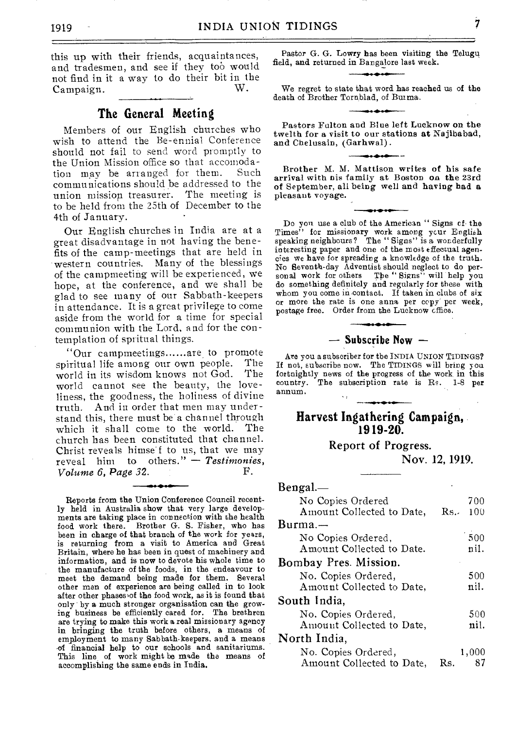this up with their friends, acquaintances, and tradesmen, and see if they too would not find in it a way to do their bit in the Campaign.

#### **The General Meeting**

Members of our English churches who wish to attend the Be-ennial Conference should not fail to send word promptly to the Union Mission office so that accomodation may be arranged for them. Such communications should be addressed to the union mission treasurer. The meeting is to be held from the 25th of December to the 4th of January.

Our English churches in India are at a great disadvantage in not having the benefits of the camp-meetings that are held in western countries. Many of the blessings of the carnpmeeting will be experienced, we hope, at the conference, and we shall be glad to see many of our Sabbath-keepers in attendance. It is a great privilege to come aside from the world for a time for special communion with the Lord, and for the contemplation of spritual things.

"Our campmeetings......are to promote<br>iritual life among our own people. The spiritual life among our own people. The world in its wisdom knows not God. The world in its wisdom knows not God. world cannot see the beauty, the loveliness, the goodness, the holiness of divine truth. And in order that men may understand this, there must be 'a channel through which it shall come to the world. The church has been constituted that channel. Christ reveals himse f to us, that we may reveal him to others." — *Testimonies, Volume 6, Page 32.* 

Reports from the Union Conference Council recently held in Australia show that very large developments are taking place in connection with the health food work there. Brother G. S. Fisher, who has been in charge of that branch of the work for years, is returning from a visit to America and Great Britain, where he has been in quest of machinery and information, and is now to devote his whole time to the manufacture of the foods, in the endeavour to meet the demand being made for them. Several other men of experience are being called in to look after other phases of the food work, as it is found that only by a much stronger organisation can the growing business be efficiently cared for. The brethren are trying to make this work a real missionary agency in bringing the truth before others, a means of employment to many Sabbath-keepers, and a means of financial help to our schools and sanitariums. This line of work might be made the means of accomplishing the same ends in India.

Pastor G. G. Lowry has been visiting the Telugu field, and returned in Bangalore last week.

We regret to state that word has reached us of the death of Brother Tornblad, of Burma.

Pastors Fulton and Blue left Lucknow on the twelth for a visit to our stations at Najibabad, and Chelusain, (Garhwal).

Brother M. M. Mattison writes of his safe arrival with nis family at Boston on the 23rd of September, all being well and having had a pleasant voyage.

Do you use a club of the American " Signs cf the Times" for missionary work among ycur English<br>speaking neighbours? The "Signs" is a wonderfully interesting paper and one of the most effectual agencies we have for spreading a knowledge of the truth. No Seventh-day Adventist should neglect to do personal work for others The "Signs" will help you do something definitely and regularly for these with whom you come in contact. If taken in clubs of six or more the rate is one anna per copy per week, postage free. Order from the Lucknow cffice.

#### — Subscribe Now —

Are you a subscriber for the INDIA UNION TIDINGS? If not, subscribe now. The TIDINGS will bring you fortnightly news of the progress of the work, in this country. The subscription rate is Re. 1-8 per annum.

#### **Harvest Ingathering Campaign, 1919-20.**

Report of Progress.

Nov. 12, 1919.

| Bengal.—                  |     |       |
|---------------------------|-----|-------|
| No Copies Ordered         |     | 700   |
| Amount Collected to Date, | Rs. | 100   |
| $Burma -$                 |     |       |
| No Copies Ordered,        |     | 500   |
| Amount Collected to Date. |     | nil.  |
| Bombay Pres. Mission.     |     |       |
| No. Copies Ordered,       |     | 500   |
| Amount Collected to Date, |     | nil.  |
| South India.              |     |       |
| No. Copies Ordered,       |     | 500   |
| Amount Collected to Date, |     | nil.  |
| North India,              |     |       |
| No. Copies Ordered,       |     | 1,000 |
| Amount Collected to Date, | Rs. |       |

7